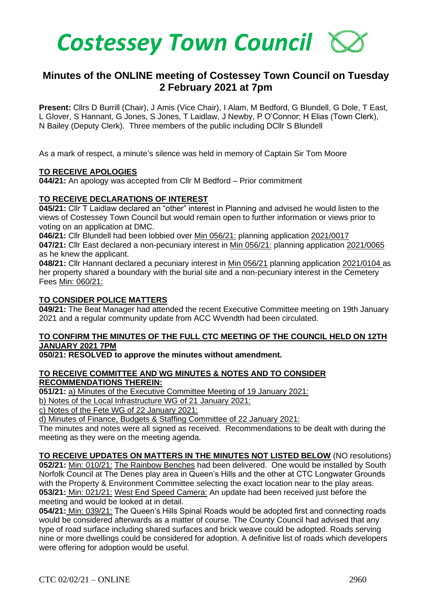

# **Minutes of the ONLINE meeting of Costessey Town Council on Tuesday 2 February 2021 at 7pm**

**Present:** Cllrs D Burrill (Chair), J Amis (Vice Chair), I Alam, M Bedford, G Blundell, G Dole, T East, L Glover, S Hannant, G Jones, S Jones, T Laidlaw, J Newby, P O'Connor; H Elias (Town Clerk), N Bailey (Deputy Clerk). Three members of the public including DCllr S Blundell

As a mark of respect, a minute's silence was held in memory of Captain Sir Tom Moore

### **TO RECEIVE APOLOGIES**

**044/21:** An apology was accepted from Cllr M Bedford – Prior commitment

### **TO RECEIVE DECLARATIONS OF INTEREST**

**045/21:** Cllr T Laidlaw declared an "other" interest in Planning and advised he would listen to the views of Costessey Town Council but would remain open to further information or views prior to voting on an application at DMC.

**046/21:** Cllr Blundell had been lobbied over Min 056/21: planning application 2021/0017 **047/21:** Cllr East declared a non-pecuniary interest in Min 056/21: planning application 2021/0065 as he knew the applicant.

**048/21:** Cllr Hannant declared a pecuniary interest in Min 056/21 planning application 2021/0104 as her property shared a boundary with the burial site and a non-pecuniary interest in the Cemetery Fees Min: 060/21:

# **TO CONSIDER POLICE MATTERS**

**049/21:** The Beat Manager had attended the recent Executive Committee meeting on 19th January 2021 and a regular community update from ACC Wvendth had been circulated.

# **TO CONFIRM THE MINUTES OF THE FULL CTC MEETING OF THE COUNCIL HELD ON 12TH JANUARY 2021 7PM**

### **050/21: RESOLVED to approve the minutes without amendment.**

#### **TO RECEIVE COMMITTEE AND WG MINUTES & NOTES AND TO CONSIDER RECOMMENDATIONS THEREIN:**

**051/21:** a) Minutes of the Executive Committee Meeting of 19 January 2021:

b) Notes of the Local Infrastructure WG of 21 January 2021:

c) Notes of the Fete WG of 22 January 2021:

d) Minutes of Finance, Budgets & Staffing Committee of 22 January 2021:

The minutes and notes were all signed as received. Recommendations to be dealt with during the meeting as they were on the meeting agenda.

**TO RECEIVE UPDATES ON MATTERS IN THE MINUTES NOT LISTED BELOW** (NO resolutions) **052/21:** Min: 010/21: The Rainbow Benches had been delivered. One would be installed by South Norfolk Council at The Denes play area in Queen's Hills and the other at CTC Longwater Grounds with the Property & Environment Committee selecting the exact location near to the play areas. **053/21:** Min: 021/21: West End Speed Camera: An update had been received just before the meeting and would be looked at in detail.

**054/21:** Min: 039/21: The Queen's Hills Spinal Roads would be adopted first and connecting roads would be considered afterwards as a matter of course. The County Council had advised that any type of road surface including shared surfaces and brick weave could be adopted. Roads serving nine or more dwellings could be considered for adoption. A definitive list of roads which developers were offering for adoption would be useful.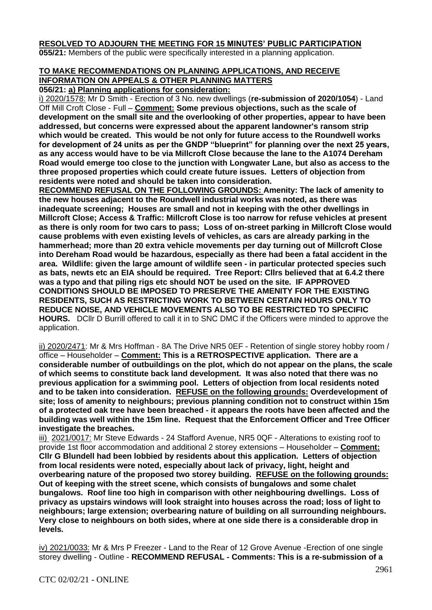# **RESOLVED TO ADJOURN THE MEETING FOR 15 MINUTES' PUBLIC PARTICIPATION**

**055/21:** Members of the public were specifically interested in a planning application.

# **TO MAKE RECOMMENDATIONS ON PLANNING APPLICATIONS, AND RECEIVE INFORMATION ON APPEALS & OTHER PLANNING MATTERS**

**056/21: a) Planning applications for consideration:**

i) 2020/1578: Mr D Smith - Erection of 3 No. new dwellings (**re-submission of 2020/1054**) - Land Off Mill Croft Close - Full – **Comment: Some previous objections, such as the scale of development on the small site and the overlooking of other properties, appear to have been addressed, but concerns were expressed about the apparent landowner's ransom strip which would be created. This would be not only for future access to the Roundwell works for development of 24 units as per the GNDP "blueprint" for planning over the next 25 years, as any access would have to be via Millcroft Close because the lane to the A1074 Dereham Road would emerge too close to the junction with Longwater Lane, but also as access to the three proposed properties which could create future issues. Letters of objection from residents were noted and should be taken into consideration.**

**RECOMMEND REFUSAL ON THE FOLLOWING GROUNDS: Amenity: The lack of amenity to the new houses adjacent to the Roundwell industrial works was noted, as there was inadequate screening; Houses are small and not in keeping with the other dwellings in Millcroft Close; Access & Traffic: Millcroft Close is too narrow for refuse vehicles at present as there is only room for two cars to pass; Loss of on-street parking in Millcroft Close would cause problems with even existing levels of vehicles, as cars are already parking in the hammerhead; more than 20 extra vehicle movements per day turning out of Millcroft Close into Dereham Road would be hazardous, especially as there had been a fatal accident in the area. Wildlife: given the large amount of wildlife seen - in particular protected species such as bats, newts etc an EIA should be required. Tree Report: Cllrs believed that at 6.4.2 there was a typo and that piling rigs etc should NOT be used on the site. IF APPROVED CONDITIONS SHOULD BE IMPOSED TO PRESERVE THE AMENITY FOR THE EXISTING RESIDENTS, SUCH AS RESTRICTING WORK TO BETWEEN CERTAIN HOURS ONLY TO REDUCE NOISE, AND VEHICLE MOVEMENTS ALSO TO BE RESTRICTED TO SPECIFIC HOURS.** DCllr D Burrill offered to call it in to SNC DMC if the Officers were minded to approve the application.

ii) 2020/2471: Mr & Mrs Hoffman - 8A The Drive NR5 0EF - Retention of single storey hobby room / office – Householder – **Comment: This is a RETROSPECTIVE application. There are a considerable number of outbuildings on the plot, which do not appear on the plans, the scale of which seems to constitute back land development. It was also noted that there was no previous application for a swimming pool. Letters of objection from local residents noted and to be taken into consideration. REFUSE on the following grounds: Overdevelopment of site; loss of amenity to neighbours; previous planning condition not to construct within 15m of a protected oak tree have been breached - it appears the roots have been affected and the building was well within the 15m line. Request that the Enforcement Officer and Tree Officer investigate the breaches.**

iii) 2021/0017: Mr Steve Edwards - 24 Stafford Avenue, NR5 0QF - Alterations to existing roof to provide 1st floor accommodation and additional 2 storey extensions – Householder – **Comment: Cllr G Blundell had been lobbied by residents about this application. Letters of objection from local residents were noted, especially about lack of privacy, light, height and overbearing nature of the proposed two storey building. REFUSE on the following grounds: Out of keeping with the street scene, which consists of bungalows and some chalet bungalows. Roof line too high in comparison with other neighbouring dwellings. Loss of privacy as upstairs windows will look straight into houses across the road; loss of light to neighbours; large extension; overbearing nature of building on all surrounding neighbours. Very close to neighbours on both sides, where at one side there is a considerable drop in levels.**

iv) 2021/0033: Mr & Mrs P Freezer - Land to the Rear of 12 Grove Avenue -Erection of one single storey dwelling - Outline - **RECOMMEND REFUSAL - Comments: This is a re-submission of a**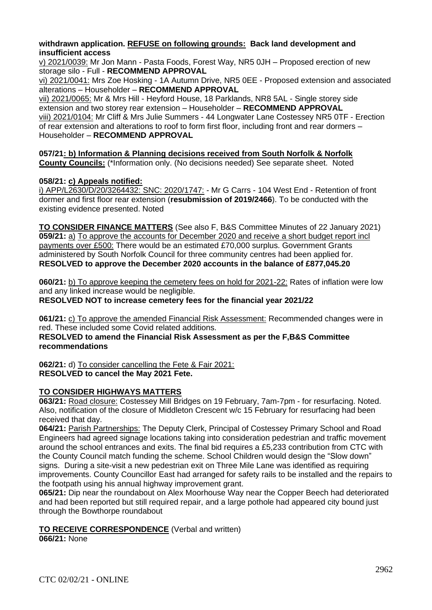### **withdrawn application. REFUSE on following grounds: Back land development and insufficient access**

v) 2021/0039: Mr Jon Mann - Pasta Foods, Forest Way, NR5 0JH – Proposed erection of new storage silo - Full - **RECOMMEND APPROVAL**

vi) 2021/0041: Mrs Zoe Hosking - 1A Autumn Drive, NR5 0EE - Proposed extension and associated alterations – Householder – **RECOMMEND APPROVAL**

vii) 2021/0065: Mr & Mrs Hill - Heyford House, 18 Parklands, NR8 5AL - Single storey side extension and two storey rear extension – Householder – **RECOMMEND APPROVAL** viii) 2021/0104: Mr Cliff & Mrs Julie Summers - 44 Longwater Lane Costessey NR5 0TF - Erection of rear extension and alterations to roof to form first floor, including front and rear dormers – Householder – **RECOMMEND APPROVAL**

**057/21: b) Information & Planning decisions received from South Norfolk & Norfolk County Councils:** (\*Information only. (No decisions needed) See separate sheet. Noted

# **058/21: c) Appeals notified:**

i) APP/L2630/D/20/3264432: SNC: 2020/1747: - Mr G Carrs - 104 West End - Retention of front dormer and first floor rear extension (**resubmission of 2019/2466**). To be conducted with the existing evidence presented. Noted

**TO CONSIDER FINANCE MATTERS** (See also F, B&S Committee Minutes of 22 January 2021) **059/21:** a) To approve the accounts for December 2020 and receive a short budget report incl payments over £500: There would be an estimated £70,000 surplus. Government Grants administered by South Norfolk Council for three community centres had been applied for. **RESOLVED to approve the December 2020 accounts in the balance of £877,045.20**

**060/21:** b) To approve keeping the cemetery fees on hold for 2021-22: Rates of inflation were low and any linked increase would be negligible.

**RESOLVED NOT to increase cemetery fees for the financial year 2021/22** 

**061/21:** c) To approve the amended Financial Risk Assessment: Recommended changes were in red. These included some Covid related additions.

**RESOLVED to amend the Financial Risk Assessment as per the F,B&S Committee recommendations** 

**062/21:** d) To consider cancelling the Fete & Fair 2021: **RESOLVED to cancel the May 2021 Fete.** 

### **TO CONSIDER HIGHWAYS MATTERS**

**063/21:** Road closure: Costessey Mill Bridges on 19 February, 7am-7pm - for resurfacing. Noted. Also, notification of the closure of Middleton Crescent w/c 15 February for resurfacing had been received that day.

**064/21:** Parish Partnerships: The Deputy Clerk, Principal of Costessey Primary School and Road Engineers had agreed signage locations taking into consideration pedestrian and traffic movement around the school entrances and exits. The final bid requires a £5,233 contribution from CTC with the County Council match funding the scheme. School Children would design the "Slow down" signs. During a site-visit a new pedestrian exit on Three Mile Lane was identified as requiring improvements. County Councillor East had arranged for safety rails to be installed and the repairs to the footpath using his annual highway improvement grant.

**065/21:** Dip near the roundabout on Alex Moorhouse Way near the Copper Beech had deteriorated and had been reported but still required repair, and a large pothole had appeared city bound just through the Bowthorpe roundabout

# **TO RECEIVE CORRESPONDENCE** (Verbal and written)

**066/21:** None